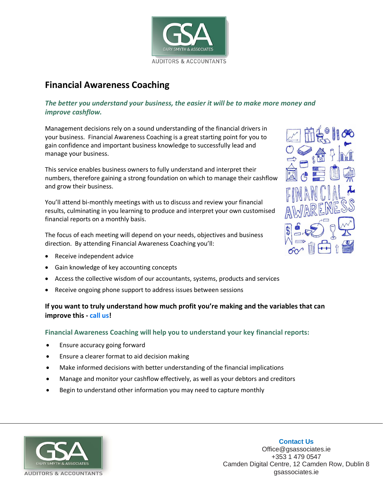

## **Financial Awareness Coaching**

### *The better you understand your business, the easier it will be to make more money and improve cashflow.*

Management decisions rely on a sound understanding of the financial drivers in your business. Financial Awareness Coaching is a great starting point for you to gain confidence and important business knowledge to successfully lead and manage your business.

This service enables business owners to fully understand and interpret their numbers, therefore gaining a strong foundation on which to manage their cashflow and grow their business.

You'll attend bi-monthly meetings with us to discuss and review your financial results, culminating in you learning to produce and interpret your own customised financial reports on a monthly basis.

The focus of each meeting will depend on your needs, objectives and business direction. By attending Financial Awareness Coaching you'll:

- Receive independent advice
- Gain knowledge of key accounting concepts
- Access the collective wisdom of our accountants, systems, products and services
- Receive ongoing phone support to address issues between sessions

## **If you want to truly understand how much profit you're making and the variables that can improve this - call us!**

#### **Financial Awareness Coaching will help you to understand your key financial reports:**

- Ensure accuracy going forward
- Ensure a clearer format to aid decision making
- Make informed decisions with better understanding of the financial implications
- Manage and monitor your cashflow effectively, as well as your debtors and creditors
- Begin to understand other information you may need to capture monthly





**Contact Us** Office@gsassociates.ie +353 1 479 0547 Camden Digital Centre, 12 Camden Row, Dublin 8 gsassociates.ie